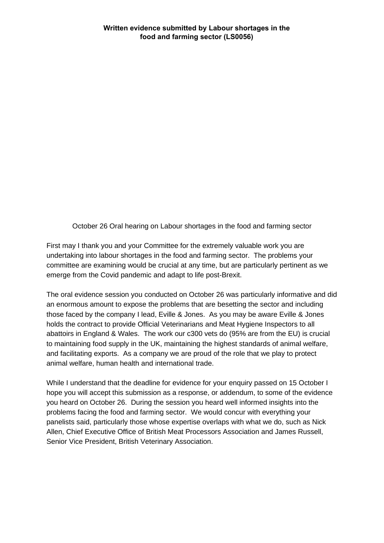October 26 Oral hearing on Labour shortages in the food and farming sector

First may I thank you and your Committee for the extremely valuable work you are undertaking into labour shortages in the food and farming sector. The problems your committee are examining would be crucial at any time, but are particularly pertinent as we emerge from the Covid pandemic and adapt to life post-Brexit.

The oral evidence session you conducted on October 26 was particularly informative and did an enormous amount to expose the problems that are besetting the sector and including those faced by the company I lead, Eville & Jones. As you may be aware Eville & Jones holds the contract to provide Official Veterinarians and Meat Hygiene Inspectors to all abattoirs in England & Wales. The work our c300 vets do (95% are from the EU) is crucial to maintaining food supply in the UK, maintaining the highest standards of animal welfare, and facilitating exports. As a company we are proud of the role that we play to protect animal welfare, human health and international trade.

While I understand that the deadline for evidence for your enquiry passed on 15 October I hope you will accept this submission as a response, or addendum, to some of the evidence you heard on October 26. During the session you heard well informed insights into the problems facing the food and farming sector. We would concur with everything your panelists said, particularly those whose expertise overlaps with what we do, such as Nick Allen, Chief Executive Office of British Meat Processors Association and James Russell, Senior Vice President, British Veterinary Association.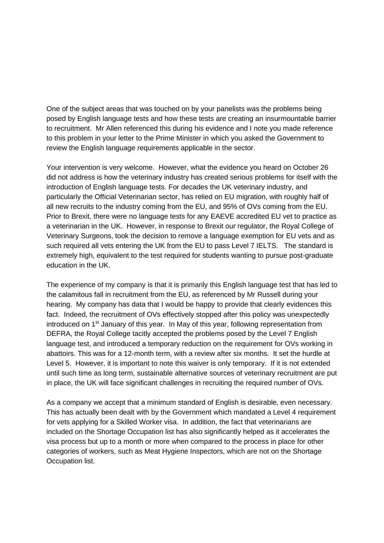One of the subject areas that was touched on by your panelists was the problems being posed by English language tests and how these tests are creating an insurmountable barrier to recruitment. Mr Allen referenced this during his evidence and I note you made reference to this problem in your letter to the Prime Minister in which you asked the Government to review the English language requirements applicable in the sector.

Your intervention is very welcome. However, what the evidence you heard on October 26 did not address is how the veterinary industry has created serious problems for itself with the introduction of English language tests. For decades the UK veterinary industry, and particularly the Official Veterinarian sector, has relied on EU migration, with roughly half of all new recruits to the industry coming from the EU, and 95% of OVs coming from the EU. Prior to Brexit, there were no language tests for any EAEVE accredited EU vet to practice as a veterinarian in the UK. However, in response to Brexit our regulator, the Royal College of Veterinary Surgeons, took the decision to remove a language exemption for EU vets and as such required all vets entering the UK from the EU to pass Level 7 IELTS. The standard is extremely high, equivalent to the test required for students wanting to pursue post-graduate education in the UK.

The experience of my company is that it is primarily this English language test that has led to the calamitous fall in recruitment from the EU, as referenced by Mr Russell during your hearing. My company has data that I would be happy to provide that clearly evidences this fact. Indeed, the recruitment of OVs effectively stopped after this policy was unexpectedly introduced on 1<sup>st</sup> January of this year. In May of this year, following representation from DEFRA, the Royal College tacitly accepted the problems posed by the Level 7 English language test, and introduced a temporary reduction on the requirement for OVs working in abattoirs. This was for a 12-month term, with a review after six months. It set the hurdle at Level 5. However, it is important to note this waiver is only temporary. If it is not extended until such time as long term, sustainable alternative sources of veterinary recruitment are put in place, the UK will face significant challenges in recruiting the required number of OVs.

As a company we accept that a minimum standard of English is desirable, even necessary. This has actually been dealt with by the Government which mandated a Level 4 requirement for vets applying for a Skilled Worker visa. In addition, the fact that veterinarians are included on the Shortage Occupation list has also significantly helped as it accelerates the visa process but up to a month or more when compared to the process in place for other categories of workers, such as Meat Hygiene Inspectors, which are not on the Shortage Occupation list.